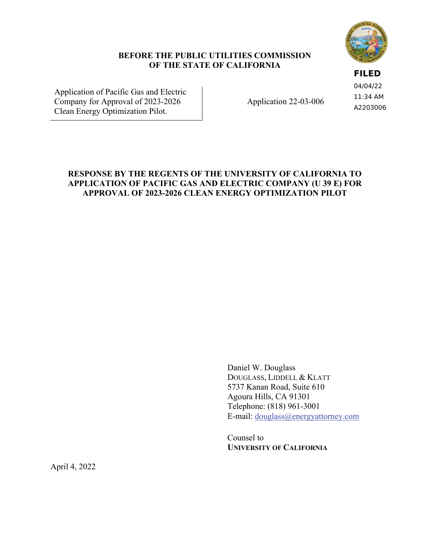

## **BEFORE THE PUBLIC UTILITIES COMMISSION OF THE STATE OF CALIFORNIA**

## **FILED**

04/04/22 11:34 AM A2203006

Application of Pacific Gas and Electric Company for Approval of 2023-2026 Clean Energy Optimization Pilot.

Application 22-03-006

# **RESPONSE BY THE REGENTS OF THE UNIVERSITY OF CALIFORNIA TO APPLICATION OF PACIFIC GAS AND ELECTRIC COMPANY (U 39 E) FOR APPROVAL OF 2023-2026 CLEAN ENERGY OPTIMIZATION PILOT**

Daniel W. Douglass DOUGLASS, LIDDELL & KLATT 5737 Kanan Road, Suite 610 Agoura Hills, CA 91301 Telephone: (818) 961-3001 E-mail: douglass@energyattorney.com

Counsel to **UNIVERSITY OF CALIFORNIA**

April 4, 2022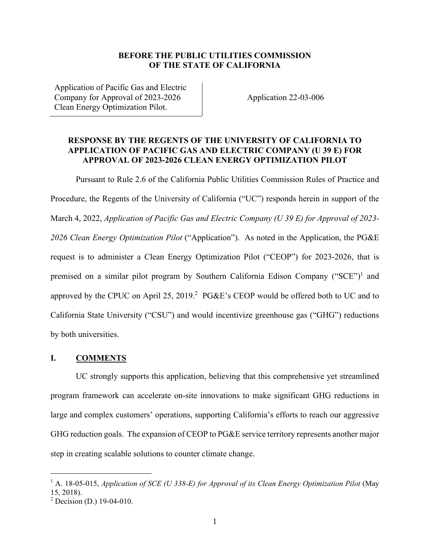#### **BEFORE THE PUBLIC UTILITIES COMMISSION OF THE STATE OF CALIFORNIA**

Application of Pacific Gas and Electric Company for Approval of 2023-2026 Clean Energy Optimization Pilot.

Application 22-03-006

# **RESPONSE BY THE REGENTS OF THE UNIVERSITY OF CALIFORNIA TO APPLICATION OF PACIFIC GAS AND ELECTRIC COMPANY (U 39 E) FOR APPROVAL OF 2023-2026 CLEAN ENERGY OPTIMIZATION PILOT**

Pursuant to Rule 2.6 of the California Public Utilities Commission Rules of Practice and Procedure, the Regents of the University of California ("UC") responds herein in support of the March 4, 2022, *Application of Pacific Gas and Electric Company (U 39 E) for Approval of 2023- 2026 Clean Energy Optimization Pilot* ("Application"). As noted in the Application, the PG&E request is to administer a Clean Energy Optimization Pilot ("CEOP") for 2023-2026, that is premised on a similar pilot program by Southern California Edison Company ("SCE")<sup>1</sup> and approved by the CPUC on April 25, 2019.<sup>2</sup> PG&E's CEOP would be offered both to UC and to California State University ("CSU") and would incentivize greenhouse gas ("GHG") reductions by both universities.

### **I. COMMENTS**

UC strongly supports this application, believing that this comprehensive yet streamlined program framework can accelerate on-site innovations to make significant GHG reductions in large and complex customers' operations, supporting California's efforts to reach our aggressive GHG reduction goals. The expansion of CEOP to PG&E service territory represents another major step in creating scalable solutions to counter climate change.

<sup>&</sup>lt;sup>1</sup> A. 18-05-015, *Application of SCE (U 338-E) for Approval of its Clean Energy Optimization Pilot (May* 15, 2018).

<sup>&</sup>lt;sup>2</sup> Decision (D.) 19-04-010.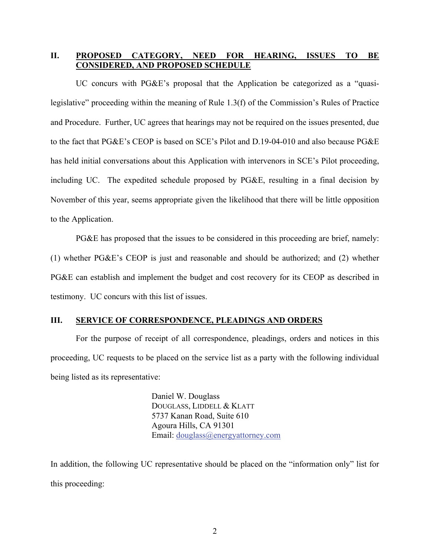## **II. PROPOSED CATEGORY, NEED FOR HEARING, ISSUES TO BE CONSIDERED, AND PROPOSED SCHEDULE**

UC concurs with PG&E's proposal that the Application be categorized as a "quasilegislative" proceeding within the meaning of Rule 1.3(f) of the Commission's Rules of Practice and Procedure. Further, UC agrees that hearings may not be required on the issues presented, due to the fact that PG&E's CEOP is based on SCE's Pilot and D.19-04-010 and also because PG&E has held initial conversations about this Application with intervenors in SCE's Pilot proceeding, including UC. The expedited schedule proposed by PG&E, resulting in a final decision by November of this year, seems appropriate given the likelihood that there will be little opposition to the Application.

PG&E has proposed that the issues to be considered in this proceeding are brief, namely: (1) whether PG&E's CEOP is just and reasonable and should be authorized; and (2) whether PG&E can establish and implement the budget and cost recovery for its CEOP as described in testimony. UC concurs with this list of issues.

#### **III. SERVICE OF CORRESPONDENCE, PLEADINGS AND ORDERS**

For the purpose of receipt of all correspondence, pleadings, orders and notices in this proceeding, UC requests to be placed on the service list as a party with the following individual being listed as its representative:

> Daniel W. Douglass DOUGLASS, LIDDELL & KLATT 5737 Kanan Road, Suite 610 Agoura Hills, CA 91301 Email: douglass@energyattorney.com

In addition, the following UC representative should be placed on the "information only" list for this proceeding: